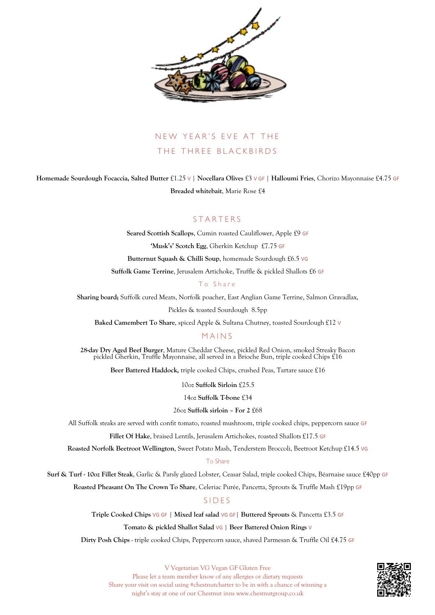

# NEW YEAR'S EVE AT THE THE THREE BLACKBIRDS

**Homemade Sourdough Focaccia, Salted Butter** £1.25 V | **Nocellara Olives** £3 V GF | **Halloumi Fries**, Chorizo Mayonnaise £4.75 GF **Breaded whitebait**, Marie Rose £4

## STARTERS

**Seared Scottish Scallops**, Cumin roasted Cauliflower, Apple £9 GF **'Musk's' Scotch Egg**, Gherkin Ketchup £7.75 GF

**Butternut Squash & Chilli Soup**, homemade Sourdough £6.5 VG

**Suffolk Game Terrine**, Jerusalem Artichoke, Truffle & pickled Shallots £6 GF

#### To Share

**Sharing board;** Suffolk cured Meats, Norfolk poacher, East Anglian Game Terrine, Salmon Gravadlax,

Pickles & toasted Sourdough 8.5pp

**Baked Camembert To Share**, spiced Apple & Sultana Chutney, toasted Sourdough £12 V

### MAINS

**28-day Dry Aged Beef Burger**, Mature Cheddar Cheese, pickled Red Onion, smoked Streaky Bacon pickled Gherkin, Truffle Mayonnaise, all served in a Brioche Bun, triple cooked Chips £16

**Beer Battered Haddock,** triple cooked Chips, crushed Peas, Tartare sauce £16

10oz **Suffolk Sirloin** £25.5

14oz **Suffolk T-bone** £34

#### 26oz **Suffolk sirloin – For 2** £68

All Suffolk steaks are served with confit tomato, roasted mushroom, triple cooked chips, peppercorn sauce GF

Fillet Of Hake, braised Lentils, Jerusalem Artichokes, roasted Shallots £17.5 GF

**Roasted Norfolk Beetroot Wellington**, Sweet Potato Mash, Tenderstem Broccoli, Beetroot Ketchup £14.5 VG

#### To Share

**Surf & Turf - 10oz Fillet Steak**, Garlic & Parsly glazed Lobster, Ceasar Salad, triple cooked Chips, Béarnaise sauce £40pp GF

**Roasted Pheasant On The Crown To Share**, Celeriac Purée, Pancetta, Sprouts & Truffle Mash £19pp GF

#### SIDES

**Triple Cooked Chips** VG GF | **Mixed leaf salad** VG GF| **Buttered Sprouts** & Pancetta £3.5 GF

#### **Tomato & pickled Shallot Salad** VG | **Beer Battered Onion Rings** V

**Dirty Posh Chips** - triple cooked Chips, Peppercorn sauce, shaved Parmesan & Truffle Oil £4.75 GF



V Vegetarian VG Vegan GF Gluten Free Please let a team member know of any allergies or dietary requests Share your visit on social using #chestnutchatter to be in with a chance of winning a night's stay at one of our Chestnut inns www.chestnutgroup.co.uk